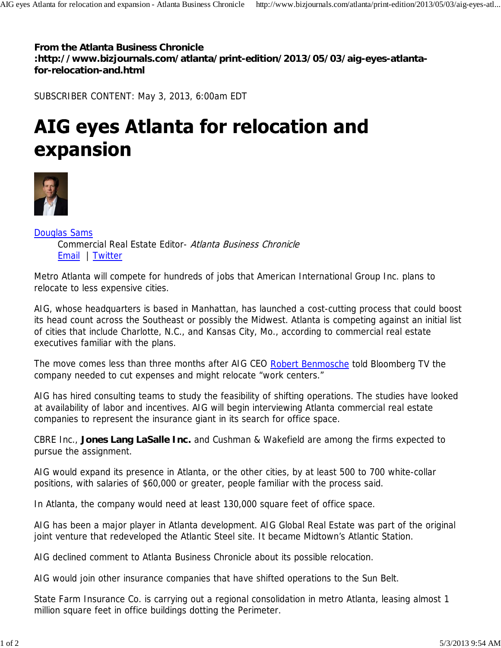**From the Atlanta Business Chronicle :http://www.bizjournals.com/atlanta/print-edition/2013/05/03/aig-eyes-atlantafor-relocation-and.html**

SUBSCRIBER CONTENT: May 3, 2013, 6:00am EDT

## AIG eyes Atlanta for relocation and expansion



Douglas Sams Commercial Real Estate Editor- Atlanta Business Chronicle Email | Twitter

Metro Atlanta will compete for hundreds of jobs that American International Group Inc. plans to relocate to less expensive cities.

AIG, whose headquarters is based in Manhattan, has launched a cost-cutting process that could boost its head count across the Southeast or possibly the Midwest. Atlanta is competing against an initial list of cities that include Charlotte, N.C., and Kansas City, Mo., according to commercial real estate executives familiar with the plans.

The move comes less than three months after AIG CEO Robert Benmosche told Bloomberg TV the company needed to cut expenses and might relocate "work centers."

AIG has hired consulting teams to study the feasibility of shifting operations. The studies have looked at availability of labor and incentives. AIG will begin interviewing Atlanta commercial real estate companies to represent the insurance giant in its search for office space.

CBRE Inc., **Jones Lang LaSalle Inc.** and Cushman & Wakefield are among the firms expected to pursue the assignment.

AIG would expand its presence in Atlanta, or the other cities, by at least 500 to 700 white-collar positions, with salaries of \$60,000 or greater, people familiar with the process said.

In Atlanta, the company would need at least 130,000 square feet of office space.

AIG has been a major player in Atlanta development. AIG Global Real Estate was part of the original joint venture that redeveloped the Atlantic Steel site. It became Midtown's Atlantic Station.

AIG declined comment to Atlanta Business Chronicle about its possible relocation.

AIG would join other insurance companies that have shifted operations to the Sun Belt.

State Farm Insurance Co. is carrying out a regional consolidation in metro Atlanta, leasing almost 1 million square feet in office buildings dotting the Perimeter.